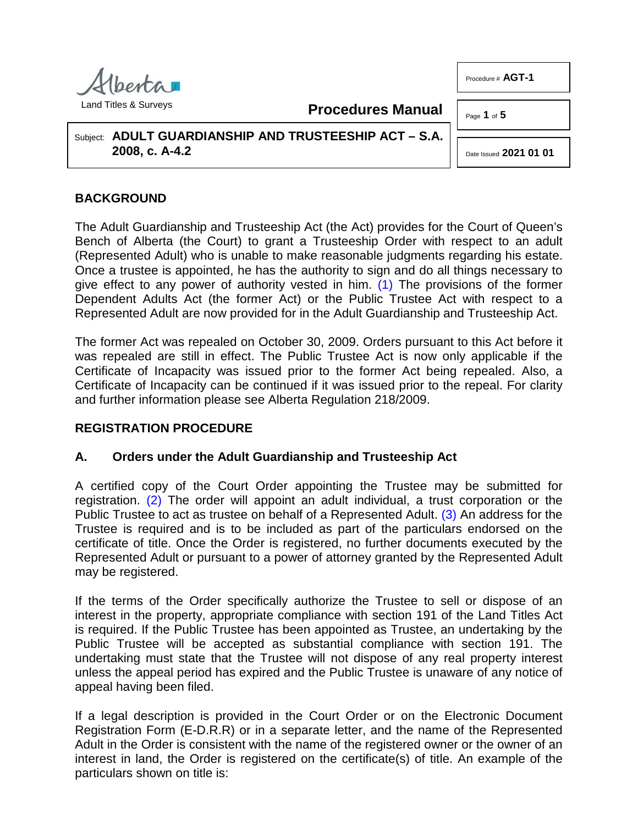

**Procedures Manual**

Subject: **ADULT GUARDIANSHIP AND TRUSTEESHIP ACT – S.A. 2008, c. A-4.2**

# **BACKGROUND**

The Adult Guardianship and Trusteeship Act (the Act) provides for the Court of Queen's Bench of Alberta (the Court) to grant a Trusteeship Order with respect to an adult (Represented Adult) who is unable to make reasonable judgments regarding his estate. Once a trustee is appointed, he has the authority to sign and do all things necessary to give effect to any power of authority vested in him. [\(1\)](#page-4-0) The provisions of the former Dependent Adults Act (the former Act) or the Public Trustee Act with respect to a Represented Adult are now provided for in the Adult Guardianship and Trusteeship Act.

The former Act was repealed on October 30, 2009. Orders pursuant to this Act before it was repealed are still in effect. The Public Trustee Act is now only applicable if the Certificate of Incapacity was issued prior to the former Act being repealed. Also, a Certificate of Incapacity can be continued if it was issued prior to the repeal. For clarity and further information please see Alberta Regulation 218/2009.

## **REGISTRATION PROCEDURE**

## **A. Orders under the Adult Guardianship and Trusteeship Act**

<span id="page-0-1"></span>A certified copy of the Court Order appointing the Trustee may be submitted for registration. [\(2\)](#page-4-1) The order will appoint an adult individual, a trust corporation or the Public Trustee to act as trustee on behalf of a Represented Adult. [\(3\)](#page-4-2) An address for the Trustee is required and is to be included as part of the particulars endorsed on the certificate of title. Once the Order is registered, no further documents executed by the Represented Adult or pursuant to a power of attorney granted by the Represented Adult may be registered.

If the terms of the Order specifically authorize the Trustee to sell or dispose of an interest in the property, appropriate compliance with section 191 of the Land Titles Act is required. If the Public Trustee has been appointed as Trustee, an undertaking by the Public Trustee will be accepted as substantial compliance with section 191. The undertaking must state that the Trustee will not dispose of any real property interest unless the appeal period has expired and the Public Trustee is unaware of any notice of appeal having been filed.

If a legal description is provided in the Court Order or on the Electronic Document Registration Form (E-D.R.R) or in a separate letter, and the name of the Represented Adult in the Order is consistent with the name of the registered owner or the owner of an interest in land, the Order is registered on the certificate(s) of title. An example of the particulars shown on title is:

Procedure # **AGT-1**

Page **1** of **5**

<span id="page-0-2"></span><span id="page-0-0"></span>Date Issued **2021 01 01**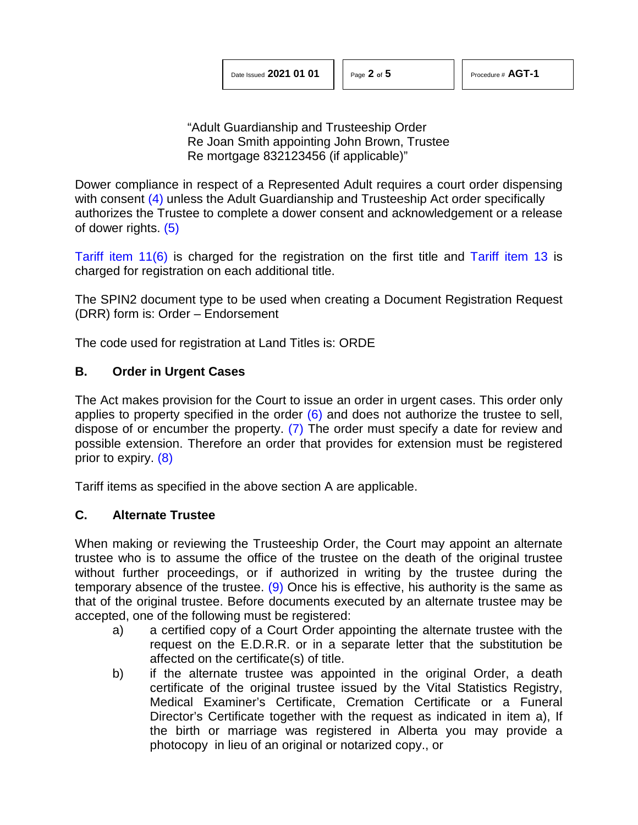"Adult Guardianship and Trusteeship Order Re Joan Smith appointing John Brown, Trustee Re mortgage 832123456 (if applicable)"

<span id="page-1-0"></span>Dower compliance in respect of a Represented Adult requires a court order dispensing with consent [\(4\)](#page-4-3) unless the Adult Guardianship and Trusteeship Act order specifically authorizes the Trustee to complete a dower consent and acknowledgement or a release of dower rights. [\(5\)](#page-4-4)

<span id="page-1-1"></span>[Tariff item 11\(6\)](http://www.servicealberta.ca/pdf/ltmanual/APPENDIXI.pdf) is charged for the registration on the first title and [Tariff item 13](http://www.servicealberta.ca/pdf/ltmanual/APPENDIXI.pdf) is charged for registration on each additional title.

The SPIN2 document type to be used when creating a Document Registration Request (DRR) form is: Order – Endorsement

The code used for registration at Land Titles is: ORDE

## **B. Order in Urgent Cases**

<span id="page-1-3"></span><span id="page-1-2"></span>The Act makes provision for the Court to issue an order in urgent cases. This order only applies to property specified in the order  $(6)$  and does not authorize the trustee to sell, dispose of or encumber the property. [\(7\)](#page-4-6) The order must specify a date for review and possible extension. Therefore an order that provides for extension must be registered prior to expiry. [\(8\)](#page-4-7)

<span id="page-1-4"></span>Tariff items as specified in the above section A are applicable.

## **C. Alternate Trustee**

When making or reviewing the Trusteeship Order, the Court may appoint an alternate trustee who is to assume the office of the trustee on the death of the original trustee without further proceedings, or if authorized in writing by the trustee during the temporary absence of the trustee. [\(9\)](#page-4-8) Once his is effective, his authority is the same as that of the original trustee. Before documents executed by an alternate trustee may be accepted, one of the following must be registered:

- <span id="page-1-5"></span>a) a certified copy of a Court Order appointing the alternate trustee with the request on the E.D.R.R. or in a separate letter that the substitution be affected on the certificate(s) of title.
- b) if the alternate trustee was appointed in the original Order, a death certificate of the original trustee issued by the Vital Statistics Registry, Medical Examiner's Certificate, Cremation Certificate or a Funeral Director's Certificate together with the request as indicated in item a), If the birth or marriage was registered in Alberta you may provide a photocopy in lieu of an original or notarized copy., or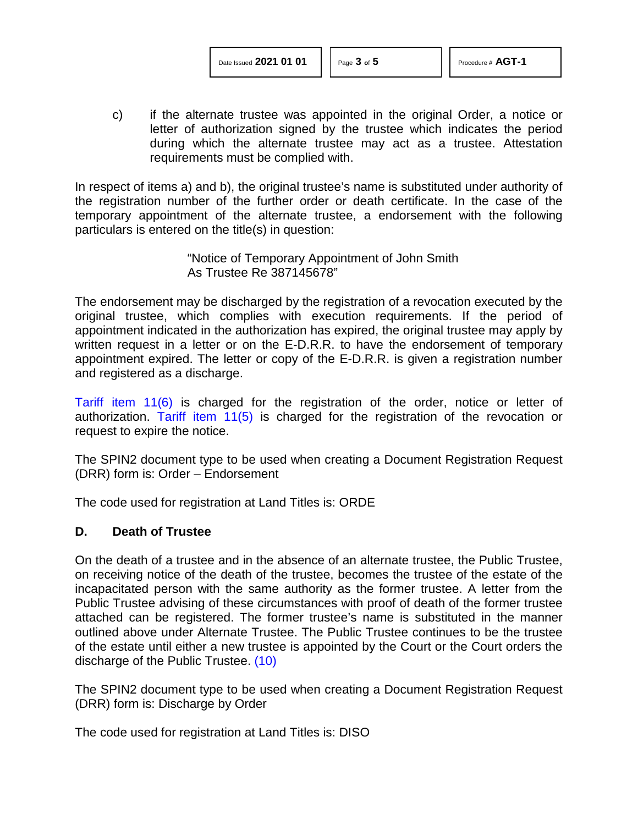c) if the alternate trustee was appointed in the original Order, a notice or letter of authorization signed by the trustee which indicates the period during which the alternate trustee may act as a trustee. Attestation requirements must be complied with.

In respect of items a) and b), the original trustee's name is substituted under authority of the registration number of the further order or death certificate. In the case of the temporary appointment of the alternate trustee, a endorsement with the following particulars is entered on the title(s) in question:

> "Notice of Temporary Appointment of John Smith As Trustee Re 387145678"

The endorsement may be discharged by the registration of a revocation executed by the original trustee, which complies with execution requirements. If the period of appointment indicated in the authorization has expired, the original trustee may apply by written request in a letter or on the E-D.R.R. to have the endorsement of temporary appointment expired. The letter or copy of the E-D.R.R. is given a registration number and registered as a discharge.

[Tariff item 11\(6\)](http://www.servicealberta.ca/pdf/ltmanual/APPENDIXI.pdf) is charged for the registration of the order, notice or letter of authorization. [Tariff item 11\(5\)](http://www.servicealberta.ca/pdf/ltmanual/APPENDIXI.pdf) is charged for the registration of the revocation or request to expire the notice.

The SPIN2 document type to be used when creating a Document Registration Request (DRR) form is: Order – Endorsement

The code used for registration at Land Titles is: ORDE

#### **D. Death of Trustee**

On the death of a trustee and in the absence of an alternate trustee, the Public Trustee, on receiving notice of the death of the trustee, becomes the trustee of the estate of the incapacitated person with the same authority as the former trustee. A letter from the Public Trustee advising of these circumstances with proof of death of the former trustee attached can be registered. The former trustee's name is substituted in the manner outlined above under Alternate Trustee. The Public Trustee continues to be the trustee of the estate until either a new trustee is appointed by the Court or the Court orders the discharge of the Public Trustee. [\(10\)](#page-4-9)

<span id="page-2-0"></span>The SPIN2 document type to be used when creating a Document Registration Request (DRR) form is: Discharge by Order

The code used for registration at Land Titles is: DISO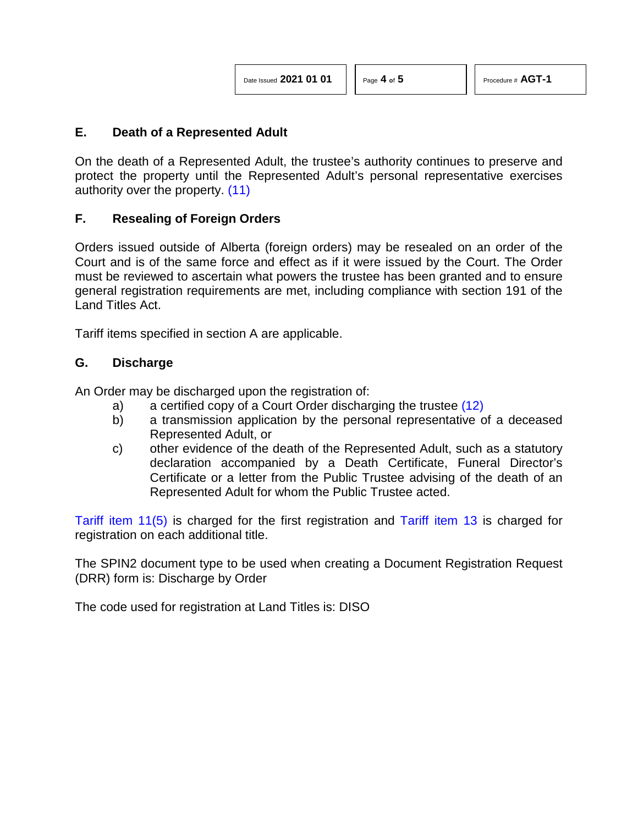<span id="page-3-0"></span>

| Date Issued 2021 01 01 |  |  |  |  |
|------------------------|--|--|--|--|
|------------------------|--|--|--|--|

<span id="page-3-1"></span>

### **E. Death of a Represented Adult**

On the death of a Represented Adult, the trustee's authority continues to preserve and protect the property until the Represented Adult's personal representative exercises authority over the property. [\(11\)](#page-4-10)

### **F. Resealing of Foreign Orders**

Orders issued outside of Alberta (foreign orders) may be resealed on an order of the Court and is of the same force and effect as if it were issued by the Court. The Order must be reviewed to ascertain what powers the trustee has been granted and to ensure general registration requirements are met, including compliance with section 191 of the Land Titles Act.

Tariff items specified in section A are applicable.

### **G. Discharge**

An Order may be discharged upon the registration of:

- a) a certified copy of a Court Order discharging the trustee [\(12\)](#page-4-11)
- b) a transmission application by the personal representative of a deceased Represented Adult, or
- c) other evidence of the death of the Represented Adult, such as a statutory declaration accompanied by a Death Certificate, Funeral Director's Certificate or a letter from the Public Trustee advising of the death of an Represented Adult for whom the Public Trustee acted.

[Tariff item 11\(5\)](http://www.servicealberta.ca/pdf/ltmanual/APPENDIXI.pdf) is charged for the first registration and [Tariff item 13](http://www.servicealberta.ca/pdf/ltmanual/APPENDIXI.pdf) is charged for registration on each additional title.

The SPIN2 document type to be used when creating a Document Registration Request (DRR) form is: Discharge by Order

The code used for registration at Land Titles is: DISO